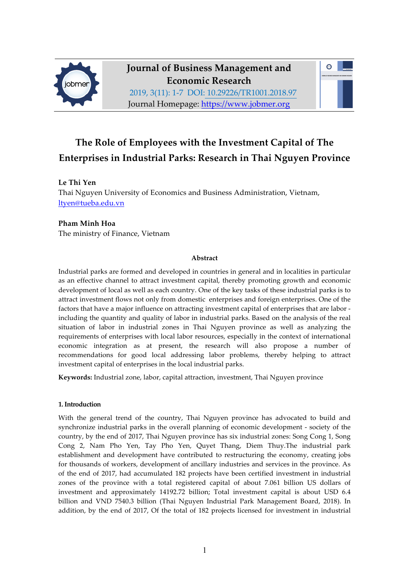

# **Journal of Business Management and Economic Research**

 $\bullet$ 

2019, 3(11): 1-7 DOI: 10.29226/TR1001.2018.97 Journal Homepage: https://www.jobmer.org

## **The Role of Employees with the Investment Capital of The Enterprises in Industrial Parks: Research in Thai Nguyen Province**

### **Le Thi Yen**

Thai Nguyen University of Economics and Business Administration, Vietnam, ltyen@tueba.edu.vn

## **Pham Minh Hoa**

The ministry of Finance, Vietnam

#### **Abstract**

Industrial parks are formed and developed in countries in general and in localities in particular as an effective channel to attract investment capital, thereby promoting growth and economic development of local as well as each country. One of the key tasks of these industrial parks is to attract investment flows not only from domestic enterprises and foreign enterprises. One of the factors that have a major influence on attracting investment capital of enterprises that are labor including the quantity and quality of labor in industrial parks. Based on the analysis of the real situation of labor in industrial zones in Thai Nguyen province as well as analyzing the requirements of enterprises with local labor resources, especially in the context of international economic integration as at present, the research will also propose a number of recommendations for good local addressing labor problems, thereby helping to attract investment capital of enterprises in the local industrial parks.

**Keywords:** Industrial zone, labor, capital attraction, investment, Thai Nguyen province

#### **1. Introduction**

With the general trend of the country, Thai Nguyen province has advocated to build and synchronize industrial parks in the overall planning of economic development - society of the country, by the end of 2017, Thai Nguyen province has six industrial zones: Song Cong 1, Song Cong 2, Nam Pho Yen, Tay Pho Yen, Quyet Thang, Diem Thuy.The industrial park establishment and development have contributed to restructuring the economy, creating jobs for thousands of workers, development of ancillary industries and services in the province. As of the end of 2017, had accumulated 182 projects have been certified investment in industrial zones of the province with a total registered capital of about 7.061 billion US dollars of investment and approximately 14192.72 billion; Total investment capital is about USD 6.4 billion and VND 7540.3 billion (Thai Nguyen Industrial Park Management Board, 2018). In addition, by the end of 2017, Of the total of 182 projects licensed for investment in industrial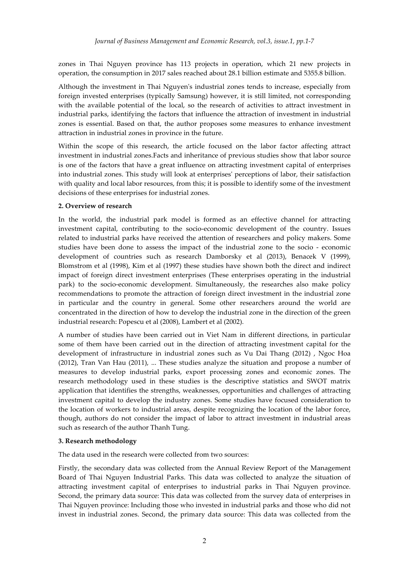zones in Thai Nguyen province has 113 projects in operation, which 21 new projects in operation, the consumption in 2017 sales reached about 28.1 billion estimate and 5355.8 billion.

Although the investment in Thai Nguyen's industrial zones tends to increase, especially from foreign invested enterprises (typically Samsung) however, it is still limited, not corresponding with the available potential of the local, so the research of activities to attract investment in industrial parks, identifying the factors that influence the attraction of investment in industrial zones is essential. Based on that, the author proposes some measures to enhance investment attraction in industrial zones in province in the future.

Within the scope of this research, the article focused on the labor factor affecting attract investment in industrial zones.Facts and inheritance of previous studies show that labor source is one of the factors that have a great influence on attracting investment capital of enterprises into industrial zones. This study will look at enterprises' perceptions of labor, their satisfaction with quality and local labor resources, from this; it is possible to identify some of the investment decisions of these enterprises for industrial zones.

#### **2. Overview of research**

In the world, the industrial park model is formed as an effective channel for attracting investment capital, contributing to the socio-economic development of the country. Issues related to industrial parks have received the attention of researchers and policy makers. Some studies have been done to assess the impact of the industrial zone to the socio - economic development of countries such as research Damborsky et al (2013), Benacek V (1999), Blomstrom et al (1998), Kim et al (1997) these studies have shown both the direct and indirect impact of foreign direct investment enterprises (These enterprises operating in the industrial park) to the socio-economic development. Simultaneously, the researches also make policy recommendations to promote the attraction of foreign direct investment in the industrial zone in particular and the country in general. Some other researchers around the world are concentrated in the direction of how to develop the industrial zone in the direction of the green industrial research: Popescu et al (2008), Lambert et al (2002).

A number of studies have been carried out in Viet Nam in different directions, in particular some of them have been carried out in the direction of attracting investment capital for the development of infrastructure in industrial zones such as Vu Dai Thang (2012) , Ngoc Hoa (2012), Tran Van Hau (2011), ... These studies analyze the situation and propose a number of measures to develop industrial parks, export processing zones and economic zones. The research methodology used in these studies is the descriptive statistics and SWOT matrix application that identifies the strengths, weaknesses, opportunities and challenges of attracting investment capital to develop the industry zones. Some studies have focused consideration to the location of workers to industrial areas, despite recognizing the location of the labor force, though, authors do not consider the impact of labor to attract investment in industrial areas such as research of the author Thanh Tung.

#### **3. Research methodology**

The data used in the research were collected from two sources:

Firstly, the secondary data was collected from the Annual Review Report of the Management Board of Thai Nguyen Industrial Parks. This data was collected to analyze the situation of attracting investment capital of enterprises to industrial parks in Thai Nguyen province. Second, the primary data source: This data was collected from the survey data of enterprises in Thai Nguyen province: Including those who invested in industrial parks and those who did not invest in industrial zones. Second, the primary data source: This data was collected from the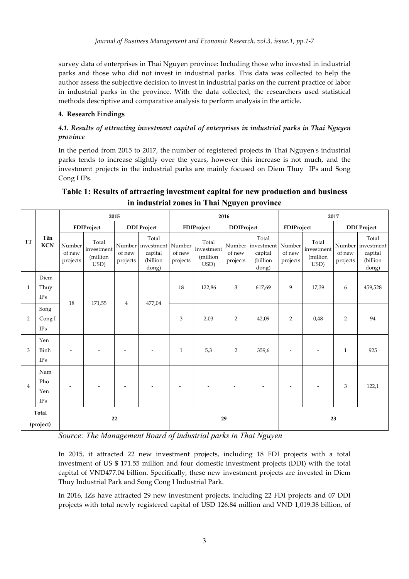survey data of enterprises in Thai Nguyen province: Including those who invested in industrial parks and those who did not invest in industrial parks. This data was collected to help the author assess the subjective decision to invest in industrial parks on the current practice of labor in industrial parks in the province. With the data collected, the researchers used statistical methods descriptive and comparative analysis to perform analysis in the article.

#### **4. Research Findings**

### *4.1. Results of attracting investment capital of enterprises in industrial parks in Thai Nguyen province*

In the period from 2015 to 2017, the number of registered projects in Thai Nguyen's industrial parks tends to increase slightly over the years, however this increase is not much, and the investment projects in the industrial parks are mainly focused on Diem Thuy IPs and Song Cong I IPs.

## **Table 1: Results of attracting investment capital for new production and business in industrial zones in Thai Nguyen province**

|                    | Tên<br><b>KCN</b>        | 2015                         |                                         |                    |                                                                   | 2016               |                                          |                    |                                                                   | 2017                     |                                         |                    |                                                            |
|--------------------|--------------------------|------------------------------|-----------------------------------------|--------------------|-------------------------------------------------------------------|--------------------|------------------------------------------|--------------------|-------------------------------------------------------------------|--------------------------|-----------------------------------------|--------------------|------------------------------------------------------------|
| <b>TT</b>          |                          | FDIProject                   |                                         | <b>DDI</b> Project |                                                                   | FDIProject         |                                          | <b>DDIProject</b>  |                                                                   | FDIProject               |                                         | <b>DDI</b> Project |                                                            |
|                    |                          | Number<br>of new<br>projects | Total<br>investment<br>(million<br>USD) | of new<br>projects | Total<br>Number investment Number<br>capital<br>(billion<br>dong) | of new<br>projects | Total<br>investment<br>(million)<br>USD) | of new<br>projects | Total<br>Number investment Number<br>capital<br>(billion<br>dong) | of new<br>projects       | Total<br>investment<br>(million<br>USD) | of new<br>projects | Total<br>Number investment<br>capital<br>(billion<br>dong) |
| $\mathbf{1}$       | Diem<br>Thuy<br>IPs      | 18                           | 171,55                                  | $\overline{4}$     | 477,04                                                            | 18                 | 122,86                                   | 3                  | 617,69                                                            | 9                        | 17,39                                   | 6                  | 459,528                                                    |
| 2                  | Song<br>Cong I<br>IPs    |                              |                                         |                    |                                                                   | 3                  | 2,03                                     | 2                  | 42,09                                                             | 2                        | 0,48                                    | $\overline{2}$     | 94                                                         |
| 3                  | Yen<br>Binh<br>IPs       |                              |                                         |                    |                                                                   | $\mathbf{1}$       | 5,3                                      | 2                  | 359,6                                                             | $\overline{\phantom{a}}$ |                                         | 1                  | 925                                                        |
| $\overline{4}$     | Nam<br>Pho<br>Yen<br>IPs |                              |                                         |                    |                                                                   |                    |                                          |                    |                                                                   | ٠                        |                                         | 3                  | 122,1                                                      |
| Total<br>(project) |                          | 22                           |                                         |                    | 29                                                                |                    |                                          |                    | 23                                                                |                          |                                         |                    |                                                            |

*Source: The Management Board of industrial parks in Thai Nguyen*

In 2015, it attracted 22 new investment projects, including 18 FDI projects with a total investment of US \$ 171.55 million and four domestic investment projects (DDI) with the total capital of VND477.04 billion. Specifically, these new investment projects are invested in Diem Thuy Industrial Park and Song Cong I Industrial Park.

In 2016, IZs have attracted 29 new investment projects, including 22 FDI projects and 07 DDI projects with total newly registered capital of USD 126.84 million and VND 1,019.38 billion, of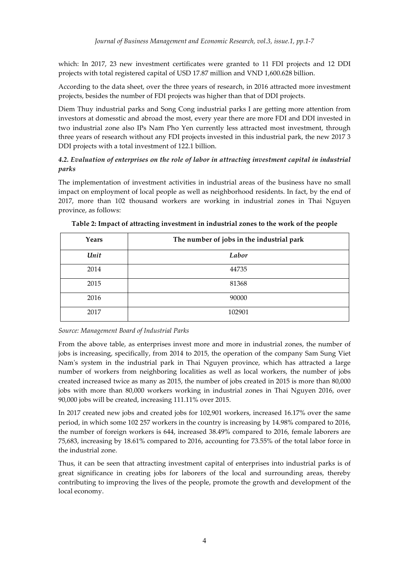which: In 2017, 23 new investment certificates were granted to 11 FDI projects and 12 DDI projects with total registered capital of USD 17.87 million and VND 1,600.628 billion.

According to the data sheet, over the three years of research, in 2016 attracted more investment projects, besides the number of FDI projects was higher than that of DDI projects.

Diem Thuy industrial parks and Song Cong industrial parks I are getting more attention from investors at domesstic and abroad the most, every year there are more FDI and DDI invested in two industrial zone also IPs Nam Pho Yen currently less attracted most investment, through three years of research without any FDI projects invested in this industrial park, the new 2017 3 DDI projects with a total investment of 122.1 billion.

### *4.2. Evaluation of enterprises on the role of labor in attracting investment capital in industrial parks*

The implementation of investment activities in industrial areas of the business have no small impact on employment of local people as well as neighborhood residents. In fact, by the end of 2017, more than 102 thousand workers are working in industrial zones in Thai Nguyen province, as follows:

| Years | The number of jobs in the industrial park |
|-------|-------------------------------------------|
| Unit  | Labor                                     |
| 2014  | 44735                                     |
| 2015  | 81368                                     |
| 2016  | 90000                                     |
| 2017  | 102901                                    |

**Table 2: Impact of attracting investment in industrial zones to the work of the people**

*Source: Management Board of Industrial Parks*

From the above table, as enterprises invest more and more in industrial zones, the number of jobs is increasing, specifically, from 2014 to 2015, the operation of the company Sam Sung Viet Nam's system in the industrial park in Thai Nguyen province, which has attracted a large number of workers from neighboring localities as well as local workers, the number of jobs created increased twice as many as 2015, the number of jobs created in 2015 is more than 80,000 jobs with more than 80,000 workers working in industrial zones in Thai Nguyen 2016, over 90,000 jobs will be created, increasing 111.11% over 2015.

In 2017 created new jobs and created jobs for 102,901 workers, increased 16.17% over the same period, in which some 102 257 workers in the country is increasing by 14.98% compared to 2016, the number of foreign workers is 644, increased 38.49% compared to 2016, female laborers are 75,683, increasing by 18.61% compared to 2016, accounting for 73.55% of the total labor force in the industrial zone.

Thus, it can be seen that attracting investment capital of enterprises into industrial parks is of great significance in creating jobs for laborers of the local and surrounding areas, thereby contributing to improving the lives of the people, promote the growth and development of the local economy.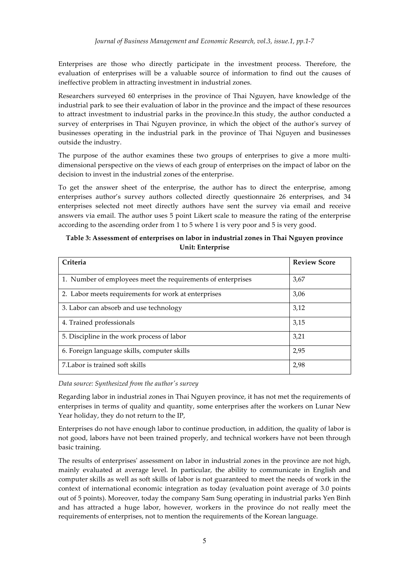Enterprises are those who directly participate in the investment process. Therefore, the evaluation of enterprises will be a valuable source of information to find out the causes of ineffective problem in attracting investment in industrial zones.

Researchers surveyed 60 enterprises in the province of Thai Nguyen, have knowledge of the industrial park to see their evaluation of labor in the province and the impact of these resources to attract investment to industrial parks in the province.In this study, the author conducted a survey of enterprises in Thai Nguyen province, in which the object of the author's survey of businesses operating in the industrial park in the province of Thai Nguyen and businesses outside the industry.

The purpose of the author examines these two groups of enterprises to give a more multidimensional perspective on the views of each group of enterprises on the impact of labor on the decision to invest in the industrial zones of the enterprise.

To get the answer sheet of the enterprise, the author has to direct the enterprise, among enterprises author's survey authors collected directly questionnaire 26 enterprises, and 34 enterprises selected not meet directly authors have sent the survey via email and receive answers via email. The author uses 5 point Likert scale to measure the rating of the enterprise according to the ascending order from 1 to 5 where 1 is very poor and 5 is very good.

#### **Table 3: Assessment of enterprises on labor in industrial zones in Thai Nguyen province Unit: Enterprise**

| Criteria                                                    | <b>Review Score</b> |
|-------------------------------------------------------------|---------------------|
| 1. Number of employees meet the requirements of enterprises | 3,67                |
| 2. Labor meets requirements for work at enterprises         | 3,06                |
| 3. Labor can absorb and use technology                      | 3,12                |
| 4. Trained professionals                                    | 3,15                |
| 5. Discipline in the work process of labor                  | 3,21                |
| 6. Foreign language skills, computer skills                 | 2,95                |
| 7. Labor is trained soft skills                             | 2,98                |

*Data source: Synthesized from the author's survey*

Regarding labor in industrial zones in Thai Nguyen province, it has not met the requirements of enterprises in terms of quality and quantity, some enterprises after the workers on Lunar New Year holiday, they do not return to the IP,

Enterprises do not have enough labor to continue production, in addition, the quality of labor is not good, labors have not been trained properly, and technical workers have not been through basic training.

The results of enterprises' assessment on labor in industrial zones in the province are not high, mainly evaluated at average level. In particular, the ability to communicate in English and computer skills as well as soft skills of labor is not guaranteed to meet the needs of work in the context of international economic integration as today (evaluation point average of 3.0 points out of 5 points). Moreover, today the company Sam Sung operating in industrial parks Yen Binh and has attracted a huge labor, however, workers in the province do not really meet the requirements of enterprises, not to mention the requirements of the Korean language.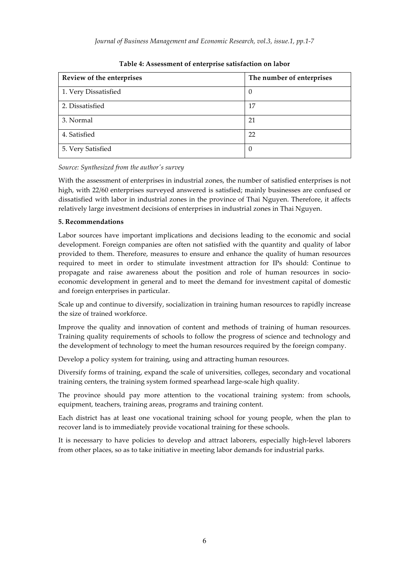*Journal of Business Management and Economic Research, vol.3, issue.1, pp.1-7*

| Review of the enterprises | The number of enterprises |
|---------------------------|---------------------------|
| 1. Very Dissatisfied      | $\theta$                  |
| 2. Dissatisfied           | 17                        |
| 3. Normal                 | 21                        |
| 4. Satisfied              | 22                        |
| 5. Very Satisfied         | $\theta$                  |

**Table 4: Assessment of enterprise satisfaction on labor**

*Source: Synthesized from the author's survey*

With the assessment of enterprises in industrial zones, the number of satisfied enterprises is not high, with 22/60 enterprises surveyed answered is satisfied; mainly businesses are confused or dissatisfied with labor in industrial zones in the province of Thai Nguyen. Therefore, it affects relatively large investment decisions of enterprises in industrial zones in Thai Nguyen.

#### **5. Recommendations**

Labor sources have important implications and decisions leading to the economic and social development. Foreign companies are often not satisfied with the quantity and quality of labor provided to them. Therefore, measures to ensure and enhance the quality of human resources required to meet in order to stimulate investment attraction for IPs should: Continue to propagate and raise awareness about the position and role of human resources in socioeconomic development in general and to meet the demand for investment capital of domestic and foreign enterprises in particular.

Scale up and continue to diversify, socialization in training human resources to rapidly increase the size of trained workforce.

Improve the quality and innovation of content and methods of training of human resources. Training quality requirements of schools to follow the progress of science and technology and the development of technology to meet the human resources required by the foreign company.

Develop a policy system for training, using and attracting human resources.

Diversify forms of training, expand the scale of universities, colleges, secondary and vocational training centers, the training system formed spearhead large-scale high quality.

The province should pay more attention to the vocational training system: from schools, equipment, teachers, training areas, programs and training content.

Each district has at least one vocational training school for young people, when the plan to recover land is to immediately provide vocational training for these schools.

It is necessary to have policies to develop and attract laborers, especially high-level laborers from other places, so as to take initiative in meeting labor demands for industrial parks.